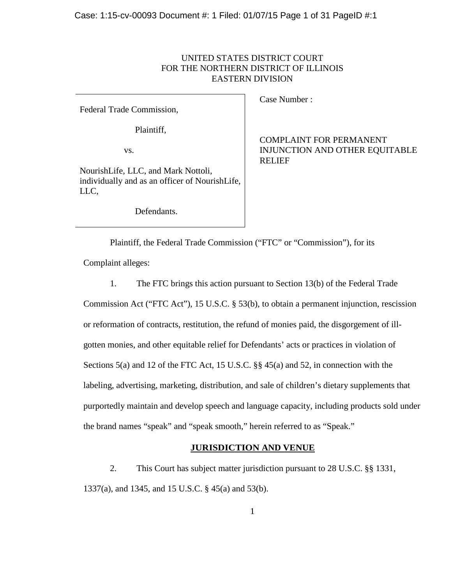# UNITED STATES DISTRICT COURT FOR THE NORTHERN DISTRICT OF ILLINOIS EASTERN DIVISION

Federal Trade Commission,

Plaintiff,

vs.

NourishLife, LLC, and Mark Nottoli, individually and as an officer of NourishLife, LLC,

Defendants.

Case Number :

COMPLAINT FOR PERMANENT INJUNCTION AND OTHER EQUITABLE RELIEF

Plaintiff, the Federal Trade Commission ("FTC" or "Commission"), for its

Complaint alleges:

1. The FTC brings this action pursuant to Section 13(b) of the Federal Trade

Commission Act ("FTC Act"), 15 U.S.C. § 53(b), to obtain a permanent injunction, rescission or reformation of contracts, restitution, the refund of monies paid, the disgorgement of illgotten monies, and other equitable relief for Defendants' acts or practices in violation of Sections 5(a) and 12 of the FTC Act, 15 U.S.C. §§ 45(a) and 52, in connection with the labeling, advertising, marketing, distribution, and sale of children's dietary supplements that purportedly maintain and develop speech and language capacity, including products sold under the brand names "speak" and "speak smooth," herein referred to as "Speak."

## **JURISDICTION AND VENUE**

2. This Court has subject matter jurisdiction pursuant to 28 U.S.C. §§ 1331, 1337(a), and 1345, and 15 U.S.C. § 45(a) and 53(b).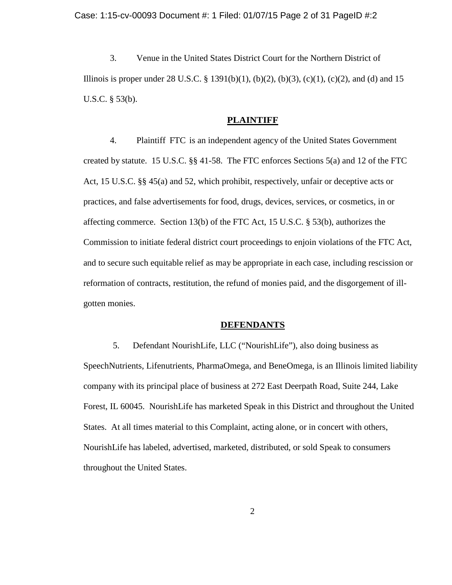3. Venue in the United States District Court for the Northern District of Illinois is proper under 28 U.S.C. § 1391(b)(1), (b)(2), (b)(3), (c)(1), (c)(2), and (d) and 15 U.S.C. § 53(b).

#### **PLAINTIFF**

4. Plaintiff FTC is an independent agency of the United States Government created by statute. 15 U.S.C. §§ 41-58. The FTC enforces Sections 5(a) and 12 of the FTC Act, 15 U.S.C. §§ 45(a) and 52, which prohibit, respectively, unfair or deceptive acts or practices, and false advertisements for food, drugs, devices, services, or cosmetics, in or affecting commerce. Section 13(b) of the FTC Act, 15 U.S.C. § 53(b), authorizes the Commission to initiate federal district court proceedings to enjoin violations of the FTC Act, and to secure such equitable relief as may be appropriate in each case, including rescission or reformation of contracts, restitution, the refund of monies paid, and the disgorgement of illgotten monies.

#### **DEFENDANTS**

5. Defendant NourishLife, LLC ("NourishLife"), also doing business as SpeechNutrients, Lifenutrients, PharmaOmega, and BeneOmega, is an Illinois limited liability company with its principal place of business at 272 East Deerpath Road, Suite 244, Lake Forest, IL 60045. NourishLife has marketed Speak in this District and throughout the United States. At all times material to this Complaint, acting alone, or in concert with others, NourishLife has labeled, advertised, marketed, distributed, or sold Speak to consumers throughout the United States.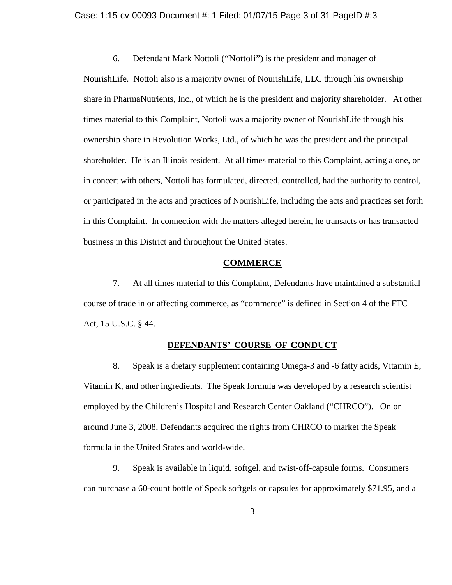#### Case: 1:15-cv-00093 Document #: 1 Filed: 01/07/15 Page 3 of 31 PageID #:3

6. Defendant Mark Nottoli ("Nottoli") is the president and manager of

NourishLife. Nottoli also is a majority owner of NourishLife, LLC through his ownership share in PharmaNutrients, Inc., of which he is the president and majority shareholder. At other times material to this Complaint, Nottoli was a majority owner of NourishLife through his ownership share in Revolution Works, Ltd., of which he was the president and the principal shareholder. He is an Illinois resident. At all times material to this Complaint, acting alone, or in concert with others, Nottoli has formulated, directed, controlled, had the authority to control, or participated in the acts and practices of NourishLife, including the acts and practices set forth in this Complaint. In connection with the matters alleged herein, he transacts or has transacted business in this District and throughout the United States.

### **COMMERCE**

7. At all times material to this Complaint, Defendants have maintained a substantial course of trade in or affecting commerce, as "commerce" is defined in Section 4 of the FTC Act, 15 U.S.C. § 44.

## **DEFENDANTS' COURSE OF CONDUCT**

8. Speak is a dietary supplement containing Omega-3 and -6 fatty acids, Vitamin E, Vitamin K, and other ingredients. The Speak formula was developed by a research scientist employed by the Children's Hospital and Research Center Oakland ("CHRCO"). On or around June 3, 2008, Defendants acquired the rights from CHRCO to market the Speak formula in the United States and world-wide.

9. Speak is available in liquid, softgel, and twist-off-capsule forms. Consumers can purchase a 60-count bottle of Speak softgels or capsules for approximately \$71.95, and a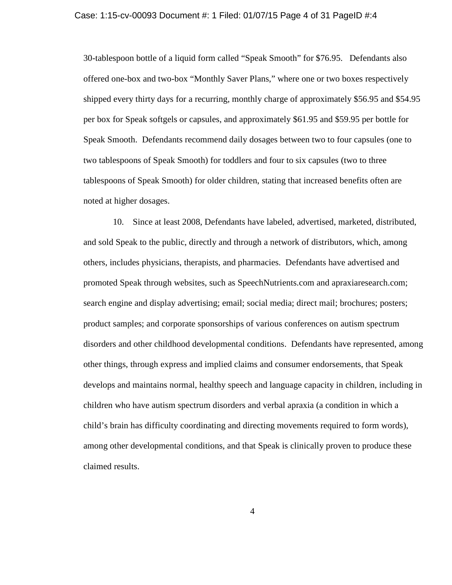#### Case: 1:15-cv-00093 Document #: 1 Filed: 01/07/15 Page 4 of 31 PageID #:4

30-tablespoon bottle of a liquid form called "Speak Smooth" for \$76.95. Defendants also offered one-box and two-box "Monthly Saver Plans," where one or two boxes respectively shipped every thirty days for a recurring, monthly charge of approximately \$56.95 and \$54.95 per box for Speak softgels or capsules, and approximately \$61.95 and \$59.95 per bottle for Speak Smooth. Defendants recommend daily dosages between two to four capsules (one to two tablespoons of Speak Smooth) for toddlers and four to six capsules (two to three tablespoons of Speak Smooth) for older children, stating that increased benefits often are noted at higher dosages.

10. Since at least 2008, Defendants have labeled, advertised, marketed, distributed, and sold Speak to the public, directly and through a network of distributors, which, among others, includes physicians, therapists, and pharmacies. Defendants have advertised and promoted Speak through websites, such as SpeechNutrients.com and apraxiaresearch.com; search engine and display advertising; email; social media; direct mail; brochures; posters; product samples; and corporate sponsorships of various conferences on autism spectrum disorders and other childhood developmental conditions. Defendants have represented, among other things, through express and implied claims and consumer endorsements, that Speak develops and maintains normal, healthy speech and language capacity in children, including in children who have autism spectrum disorders and verbal apraxia (a condition in which a child's brain has difficulty coordinating and directing movements required to form words), among other developmental conditions, and that Speak is clinically proven to produce these claimed results.

4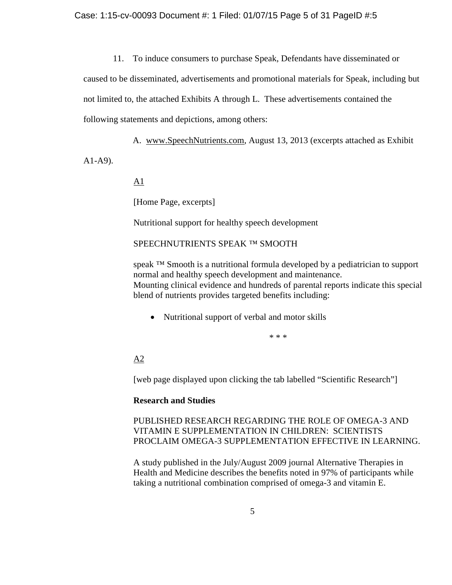11. To induce consumers to purchase Speak, Defendants have disseminated or

caused to be disseminated, advertisements and promotional materials for Speak, including but

not limited to, the attached Exhibits A through L. These advertisements contained the

following statements and depictions, among others:

A. www.SpeechNutrients.com, August 13, 2013 (excerpts attached as Exhibit

A1-A9).

 $\underline{A1}$ 

[Home Page, excerpts]

Nutritional support for healthy speech development

SPEECHNUTRIENTS SPEAK ™ SMOOTH

speak <sup>™</sup> Smooth is a nutritional formula developed by a pediatrician to support normal and healthy speech development and maintenance. Mounting clinical evidence and hundreds of parental reports indicate this special blend of nutrients provides targeted benefits including:

• Nutritional support of verbal and motor skills

\* \* \*

 $A2$ 

[web page displayed upon clicking the tab labelled "Scientific Research"]

## **Research and Studies**

PUBLISHED RESEARCH REGARDING THE ROLE OF OMEGA-3 AND VITAMIN E SUPPLEMENTATION IN CHILDREN: SCIENTISTS PROCLAIM OMEGA-3 SUPPLEMENTATION EFFECTIVE IN LEARNING.

A study published in the July/August 2009 journal Alternative Therapies in Health and Medicine describes the benefits noted in 97% of participants while taking a nutritional combination comprised of omega-3 and vitamin E.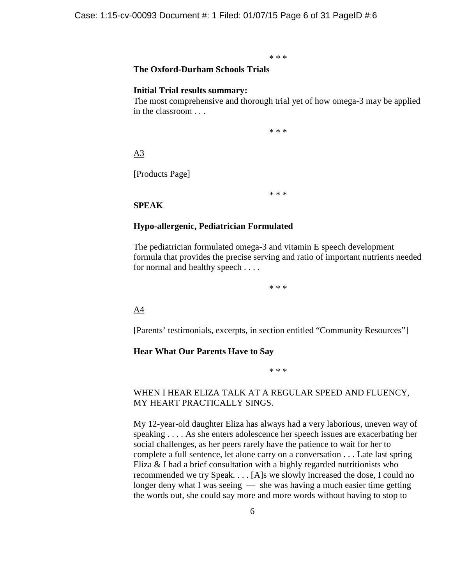\* \* \*

# **The Oxford-Durham Schools Trials**

#### **Initial Trial results summary:**

The most comprehensive and thorough trial yet of how omega-3 may be applied in the classroom . . .

\* \* \*

## A3

[Products Page]

\* \* \*

#### **SPEAK**

#### **Hypo-allergenic, Pediatrician Formulated**

The pediatrician formulated omega-3 and vitamin E speech development formula that provides the precise serving and ratio of important nutrients needed for normal and healthy speech . . . .

\* \* \*

#### A4

[Parents' testimonials, excerpts, in section entitled "Community Resources"]

#### **Hear What Our Parents Have to Say**

\* \* \*

# WHEN I HEAR ELIZA TALK AT A REGULAR SPEED AND FLUENCY, MY HEART PRACTICALLY SINGS.

My 12-year-old daughter Eliza has always had a very laborious, uneven way of speaking . . . . As she enters adolescence her speech issues are exacerbating her social challenges, as her peers rarely have the patience to wait for her to complete a full sentence, let alone carry on a conversation . . . Late last spring Eliza & I had a brief consultation with a highly regarded nutritionists who recommended we try Speak. . . . [A]s we slowly increased the dose, I could no longer deny what I was seeing — she was having a much easier time getting the words out, she could say more and more words without having to stop to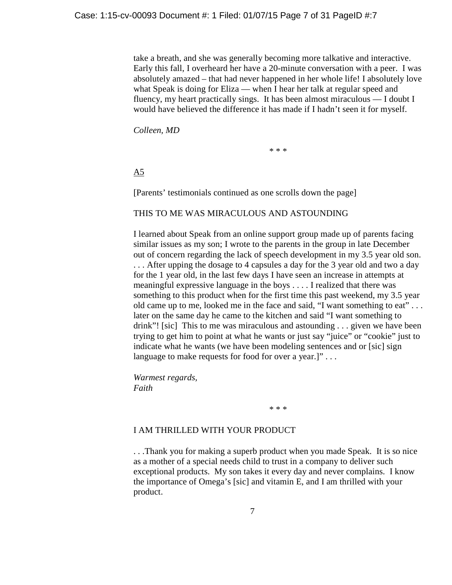take a breath, and she was generally becoming more talkative and interactive. Early this fall, I overheard her have a 20-minute conversation with a peer. I was absolutely amazed – that had never happened in her whole life! I absolutely love what Speak is doing for Eliza — when I hear her talk at regular speed and fluency, my heart practically sings. It has been almost miraculous — I doubt I would have believed the difference it has made if I hadn't seen it for myself.

*Colleen, MD*

\* \* \*

A5

[Parents' testimonials continued as one scrolls down the page]

## THIS TO ME WAS MIRACULOUS AND ASTOUNDING

I learned about Speak from an online support group made up of parents facing similar issues as my son; I wrote to the parents in the group in late December out of concern regarding the lack of speech development in my 3.5 year old son. . . . After upping the dosage to 4 capsules a day for the 3 year old and two a day for the 1 year old, in the last few days I have seen an increase in attempts at meaningful expressive language in the boys . . . . I realized that there was something to this product when for the first time this past weekend, my 3.5 year old came up to me, looked me in the face and said, "I want something to eat" . . . later on the same day he came to the kitchen and said "I want something to drink"! [sic] This to me was miraculous and astounding . . . given we have been trying to get him to point at what he wants or just say "juice" or "cookie" just to indicate what he wants (we have been modeling sentences and or [sic] sign language to make requests for food for over a year.]"...

*Warmest regards, Faith*

\* \* \*

# I AM THRILLED WITH YOUR PRODUCT

. . .Thank you for making a superb product when you made Speak. It is so nice as a mother of a special needs child to trust in a company to deliver such exceptional products. My son takes it every day and never complains. I know the importance of Omega's [sic] and vitamin E, and I am thrilled with your product.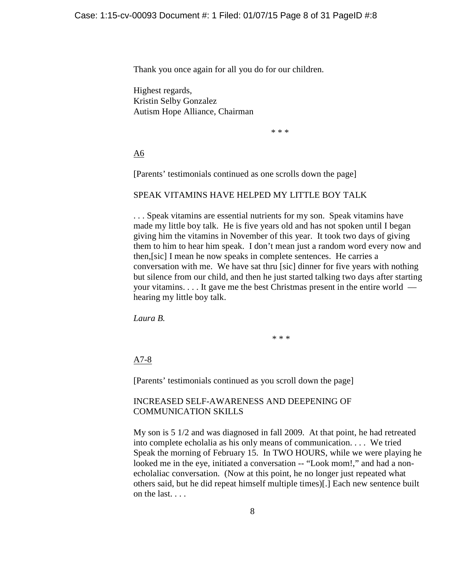Thank you once again for all you do for our children.

Highest regards, Kristin Selby Gonzalez Autism Hope Alliance, Chairman

\* \* \*

A6

[Parents' testimonials continued as one scrolls down the page]

# SPEAK VITAMINS HAVE HELPED MY LITTLE BOY TALK

. . . Speak vitamins are essential nutrients for my son. Speak vitamins have made my little boy talk. He is five years old and has not spoken until I began giving him the vitamins in November of this year. It took two days of giving them to him to hear him speak. I don't mean just a random word every now and then,[sic] I mean he now speaks in complete sentences. He carries a conversation with me. We have sat thru [sic] dinner for five years with nothing but silence from our child, and then he just started talking two days after starting your vitamins. . . . It gave me the best Christmas present in the entire world hearing my little boy talk.

*Laura B.*

\* \* \*

A7-8

[Parents' testimonials continued as you scroll down the page]

# INCREASED SELF-AWARENESS AND DEEPENING OF COMMUNICATION SKILLS

My son is 5 1/2 and was diagnosed in fall 2009. At that point, he had retreated into complete echolalia as his only means of communication. . . . We tried Speak the morning of February 15. In TWO HOURS, while we were playing he looked me in the eye, initiated a conversation -- "Look mom!," and had a nonecholaliac conversation. (Now at this point, he no longer just repeated what others said, but he did repeat himself multiple times)[.] Each new sentence built on the last. . . .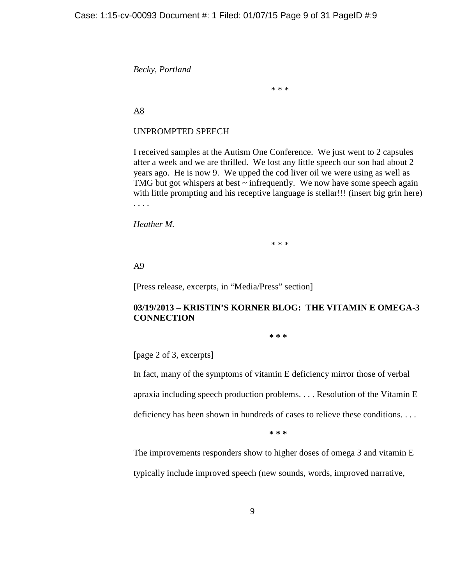*Becky, Portland*

\* \* \*

A8

# UNPROMPTED SPEECH

I received samples at the Autism One Conference. We just went to 2 capsules after a week and we are thrilled. We lost any little speech our son had about 2 years ago. He is now 9. We upped the cod liver oil we were using as well as TMG but got whispers at best  $\sim$  infrequently. We now have some speech again with little prompting and his receptive language is stellar!!! (insert big grin here) . . . .

*Heather M.*

\* \* \*

A9

[Press release, excerpts, in "Media/Press" section]

# **03/19/2013 – KRISTIN'S KORNER BLOG: THE VITAMIN E OMEGA-3 CONNECTION**

**\* \* \*** 

[page 2 of 3, excerpts]

In fact, many of the symptoms of vitamin E deficiency mirror those of verbal

apraxia including speech production problems. . . . Resolution of the Vitamin E

deficiency has been shown in hundreds of cases to relieve these conditions. . . .

**\* \* \*** 

The improvements responders show to higher doses of omega 3 and vitamin E typically include improved speech (new sounds, words, improved narrative,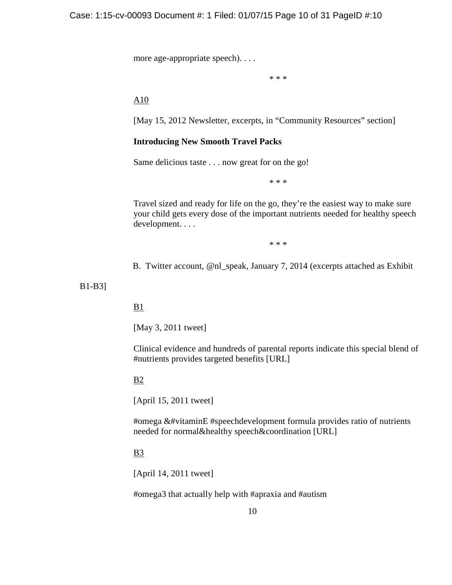more age-appropriate speech). . . .

\* \* \*

A10

[May 15, 2012 Newsletter, excerpts, in "Community Resources" section]

# **Introducing New Smooth Travel Packs**

Same delicious taste . . . now great for on the go!

\* \* \*

Travel sized and ready for life on the go, they're the easiest way to make sure your child gets every dose of the important nutrients needed for healthy speech development. . . .

\* \* \*

B. Twitter account, @nl\_speak, January 7, 2014 (excerpts attached as Exhibit

B1-B3]

## B1

[May 3, 2011 tweet]

Clinical evidence and hundreds of parental reports indicate this special blend of #nutrients provides targeted benefits [URL]

## B2

[April 15, 2011 tweet]

#omega &#vitaminE #speechdevelopment formula provides ratio of nutrients needed for normal&healthy speech&coordination [URL]

# B3

[April 14, 2011 tweet]

#omega3 that actually help with #apraxia and #autism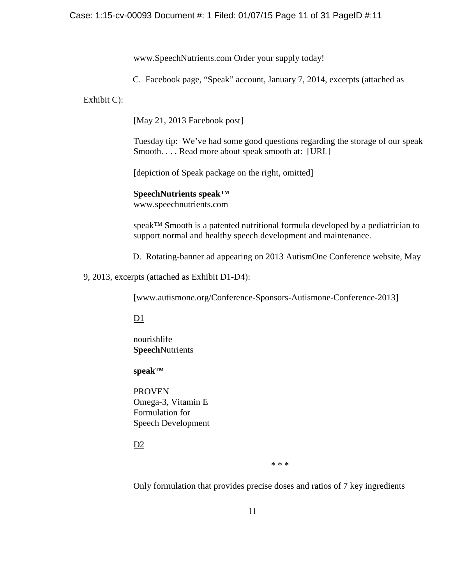www.SpeechNutrients.com Order your supply today!

C. Facebook page, "Speak" account, January 7, 2014, excerpts (attached as

Exhibit C):

[May 21, 2013 Facebook post]

Tuesday tip: We've had some good questions regarding the storage of our speak Smooth. . . . Read more about speak smooth at: [URL]

[depiction of Speak package on the right, omitted]

**SpeechNutrients speak™**

www.speechnutrients.com

speak™ Smooth is a patented nutritional formula developed by a pediatrician to support normal and healthy speech development and maintenance.

D. Rotating-banner ad appearing on 2013 AutismOne Conference website, May

9, 2013, excerpts (attached as Exhibit D1-D4):

[www.autismone.org/Conference-Sponsors-Autismone-Conference-2013]

 $D1$ 

nourishlife **Speech**Nutrients

# **speak™**

PROVEN Omega-3, Vitamin E Formulation for Speech Development

D<sub>2</sub>

\* \* \*

Only formulation that provides precise doses and ratios of 7 key ingredients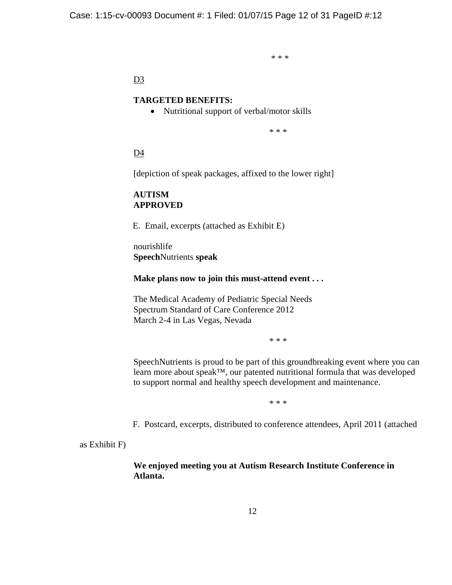\* \* \*

# D<sub>3</sub>

## **TARGETED BENEFITS:**

• Nutritional support of verbal/motor skills

\* \* \*

D4

[depiction of speak packages, affixed to the lower right]

# **AUTISM APPROVED**

E. Email, excerpts (attached as Exhibit E)

nourishlife **Speech**Nutrients **speak**

## **Make plans now to join this must-attend event . . .**

The Medical Academy of Pediatric Special Needs Spectrum Standard of Care Conference 2012 March 2-4 in Las Vegas, Nevada

\* \* \*

SpeechNutrients is proud to be part of this groundbreaking event where you can learn more about speak™, our patented nutritional formula that was developed to support normal and healthy speech development and maintenance.

\* \* \*

F. Postcard, excerpts, distributed to conference attendees, April 2011 (attached

as Exhibit F)

**We enjoyed meeting you at Autism Research Institute Conference in Atlanta.**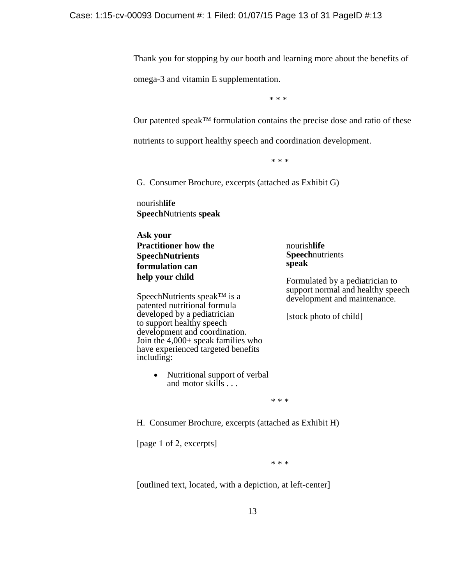Thank you for stopping by our booth and learning more about the benefits of

omega-3 and vitamin E supplementation.

\* \* \*

Our patented speak™ formulation contains the precise dose and ratio of these

nutrients to support healthy speech and coordination development.

\* \* \*

G. Consumer Brochure, excerpts (attached as Exhibit G)

nourish**life Speech**Nutrients **speak**

**Ask your Practitioner how the SpeechNutrients formulation can help your child**

SpeechNutrients speak™ is a patented nutritional formula developed by a pediatrician to support healthy speech development and coordination. Join the 4,000+ speak families who have experienced targeted benefits including:

> • Nutritional support of verbal and motor skills . . .

nourish**life Speech**nutrients **speak**

Formulated by a pediatrician to support normal and healthy speech development and maintenance.

[stock photo of child]

\* \* \*

H. Consumer Brochure, excerpts (attached as Exhibit H)

[page 1 of 2, excerpts]

\* \* \*

[outlined text, located, with a depiction, at left-center]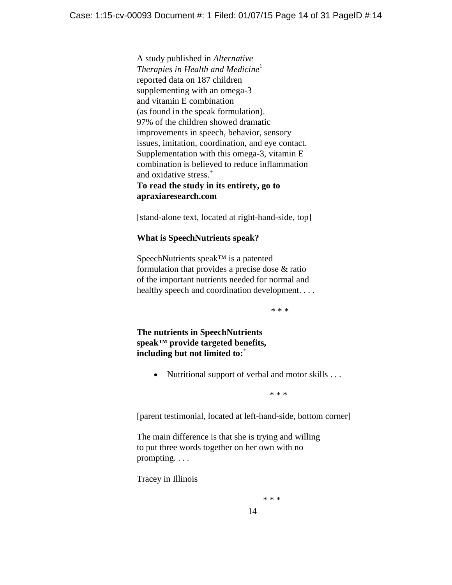A study published in *Alternative Therapies in Health and Medicine*<sup>1</sup> reported data on 187 children supplementing with an omega-3 and vitamin E combination (as found in the speak formulation). 97% of the children showed dramatic improvements in speech, behavior, sensory issues, imitation, coordination, and eye contact. Supplementation with this omega-3, vitamin E combination is believed to reduce inflammation and oxidative stress.<sup>+</sup> **To read the study in its entirety, go to apraxiaresearch.com**

[stand-alone text, located at right-hand-side, top]

## **What is SpeechNutrients speak?**

SpeechNutrients speak™ is a patented formulation that provides a precise dose & ratio of the important nutrients needed for normal and healthy speech and coordination development. . . .

\* \* \*

**The nutrients in SpeechNutrients speak™ provide targeted benefits, including but not limited to:**<sup>+</sup>

• Nutritional support of verbal and motor skills . . .

 $* * *$ 

[parent testimonial, located at left-hand-side, bottom corner]

The main difference is that she is trying and willing to put three words together on her own with no prompting. . . .

Tracey in Illinois

 $* * *$ 

14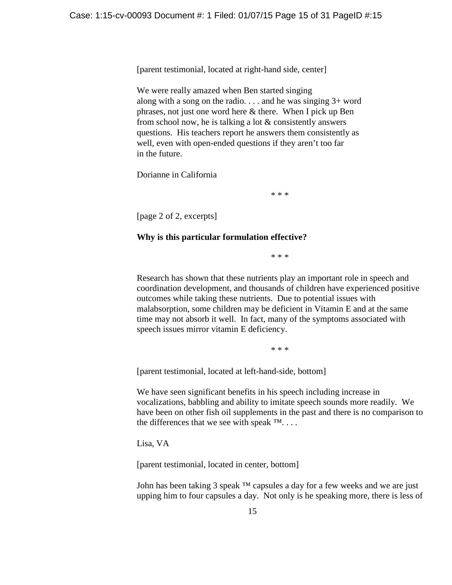[parent testimonial, located at right-hand side, center]

We were really amazed when Ben started singing along with a song on the radio. . . . and he was singing 3+ word phrases, not just one word here & there. When I pick up Ben from school now, he is talking a lot & consistently answers questions. His teachers report he answers them consistently as well, even with open-ended questions if they aren't too far in the future.

Dorianne in California

\* \* \*

[page 2 of 2, excerpts]

# **Why is this particular formulation effective?**

\* \* \*

Research has shown that these nutrients play an important role in speech and coordination development, and thousands of children have experienced positive outcomes while taking these nutrients. Due to potential issues with malabsorption, some children may be deficient in Vitamin E and at the same time may not absorb it well. In fact, many of the symptoms associated with speech issues mirror vitamin E deficiency.

\* \* \*

[parent testimonial, located at left-hand-side, bottom]

We have seen significant benefits in his speech including increase in vocalizations, babbling and ability to imitate speech sounds more readily. We have been on other fish oil supplements in the past and there is no comparison to the differences that we see with speak  $\mathbb{M}$ ...

Lisa, VA

[parent testimonial, located in center, bottom]

John has been taking 3 speak  $^{TM}$  capsules a day for a few weeks and we are just upping him to four capsules a day. Not only is he speaking more, there is less of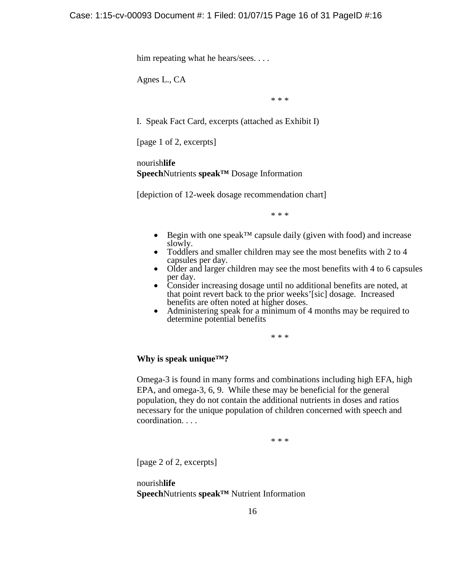him repeating what he hears/sees....

Agnes L., CA

\* \* \*

I. Speak Fact Card, excerpts (attached as Exhibit I)

[page 1 of 2, excerpts]

nourish**life Speech**Nutrients **speak™** Dosage Information

[depiction of 12-week dosage recommendation chart]

\* \* \*

- Begin with one speak<sup>TM</sup> capsule daily (given with food) and increase slowly.
- Toddlers and smaller children may see the most benefits with  $2 \text{ to } 4$  capsules per day.
- Older and larger children may see the most benefits with 4 to 6 capsules per day.
- Consider increasing dosage until no additional benefits are noted, at that point revert back to the prior weeks'[sic] dosage. Increased
- Administering speak for a minimum of 4 months may be required to determine potential benefits

\* \* \*

## **Why is speak unique™?**

Omega-3 is found in many forms and combinations including high EFA, high EPA, and omega-3, 6, 9. While these may be beneficial for the general population, they do not contain the additional nutrients in doses and ratios necessary for the unique population of children concerned with speech and coordination. . . .

\* \* \*

[page 2 of 2, excerpts]

nourish**life Speech**Nutrients **speak™** Nutrient Information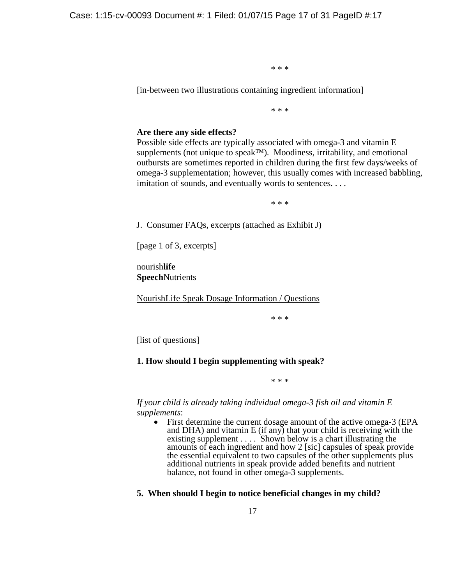\* \* \*

[in-between two illustrations containing ingredient information]

\* \* \*

#### **Are there any side effects?**

Possible side effects are typically associated with omega-3 and vitamin E supplements (not unique to speak™). Moodiness, irritability, and emotional outbursts are sometimes reported in children during the first few days/weeks of omega-3 supplementation; however, this usually comes with increased babbling, imitation of sounds, and eventually words to sentences. . . .

\* \* \*

J. Consumer FAQs, excerpts (attached as Exhibit J)

[page 1 of 3, excerpts]

nourish**life Speech**Nutrients

NourishLife Speak Dosage Information / Questions

\* \* \*

[list of questions]

#### **1. How should I begin supplementing with speak?**

\* \* \*

*If your child is already taking individual omega-3 fish oil and vitamin E supplements*:

• First determine the current dosage amount of the active omega-3 (EPA and DHA) and vitamin E (if any) that your child is receiving with the existing supplement . . . . Shown below is a chart illustrating the amounts of each ingredient and how 2 [sic] capsules of speak provide the essential equivalent to two capsules of the other supplements plus additional nutrients in speak provide added benefits and nutrient balance, not found in other omega-3 supplements.

### **5. When should I begin to notice beneficial changes in my child?**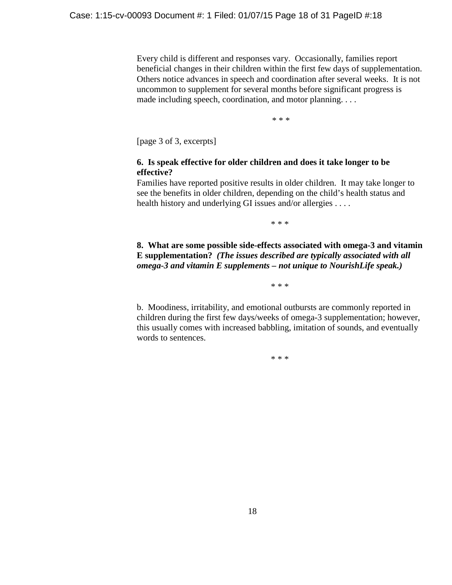Every child is different and responses vary. Occasionally, families report beneficial changes in their children within the first few days of supplementation. Others notice advances in speech and coordination after several weeks. It is not uncommon to supplement for several months before significant progress is made including speech, coordination, and motor planning. . . .

\* \* \*

[page 3 of 3, excerpts]

# **6. Is speak effective for older children and does it take longer to be effective?**

Families have reported positive results in older children. It may take longer to see the benefits in older children, depending on the child's health status and health history and underlying GI issues and/or allergies . . . .

\* \* \*

**8. What are some possible side-effects associated with omega-3 and vitamin E supplementation?** *(The issues described are typically associated with all omega-3 and vitamin E supplements – not unique to NourishLife speak.)* 

\* \* \*

b. Moodiness, irritability, and emotional outbursts are commonly reported in children during the first few days/weeks of omega-3 supplementation; however, this usually comes with increased babbling, imitation of sounds, and eventually words to sentences.

\* \* \*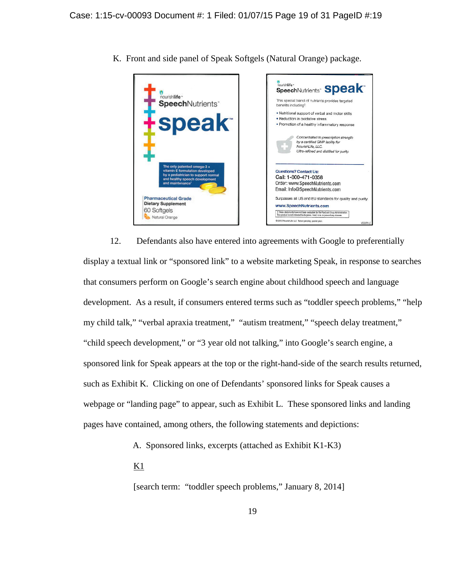

K. Front and side panel of Speak Softgels (Natural Orange) package.

12. Defendants also have entered into agreements with Google to preferentially display a textual link or "sponsored link" to a website marketing Speak, in response to searches that consumers perform on Google's search engine about childhood speech and language development. As a result, if consumers entered terms such as "toddler speech problems," "help my child talk," "verbal apraxia treatment," "autism treatment," "speech delay treatment," "child speech development," or "3 year old not talking," into Google's search engine, a sponsored link for Speak appears at the top or the right-hand-side of the search results returned, such as Exhibit K. Clicking on one of Defendants' sponsored links for Speak causes a webpage or "landing page" to appear, such as Exhibit L. These sponsored links and landing pages have contained, among others, the following statements and depictions:

A. Sponsored links, excerpts (attached as Exhibit K1-K3)

 $\underline{K1}$ 

[search term: "toddler speech problems," January 8, 2014]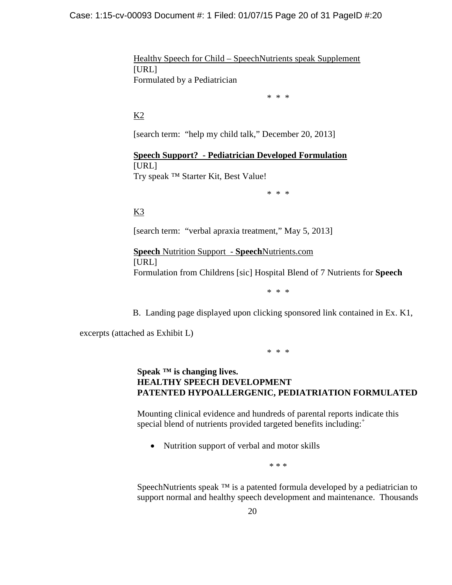Healthy Speech for Child – SpeechNutrients speak Supplement [URL] Formulated by a Pediatrician

\* \* \*

# $K<sub>2</sub>$

[search term: "help my child talk," December 20, 2013]

**Speech Support? - Pediatrician Developed Formulation** [URL] Try speak ™ Starter Kit, Best Value!

\* \* \*

K3

[search term: "verbal apraxia treatment," May 5, 2013]

**Speech** Nutrition Support - **Speech**Nutrients.com [URL] Formulation from Childrens [sic] Hospital Blend of 7 Nutrients for **Speech**

\* \* \*

B. Landing page displayed upon clicking sponsored link contained in Ex. K1,

excerpts (attached as Exhibit L)

\* \* \*

# **Speak ™ is changing lives. HEALTHY SPEECH DEVELOPMENT PATENTED HYPOALLERGENIC, PEDIATRIATION FORMULATED**

Mounting clinical evidence and hundreds of parental reports indicate this special blend of nutrients provided targeted benefits including:<sup>+</sup>

• Nutrition support of verbal and motor skills

\* \* \*

SpeechNutrients speak <sup>™</sup> is a patented formula developed by a pediatrician to support normal and healthy speech development and maintenance. Thousands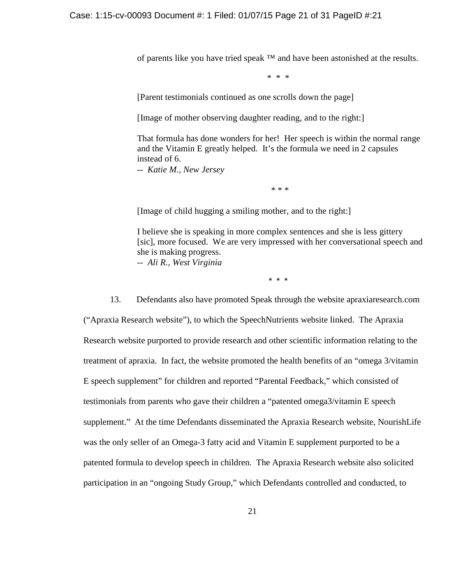of parents like you have tried speak ™ and have been astonished at the results.

\* \* \*

[Parent testimonials continued as one scrolls down the page]

[Image of mother observing daughter reading, and to the right:]

That formula has done wonders for her! Her speech is within the normal range and the Vitamin E greatly helped. It's the formula we need in 2 capsules instead of 6.

-- *Katie M., New Jersey*

\* \* \*

[Image of child hugging a smiling mother, and to the right:]

I believe she is speaking in more complex sentences and she is less gittery [sic], more focused. We are very impressed with her conversational speech and she is making progress. -- *Ali R., West Virginia* 

\* \* \*

13. Defendants also have promoted Speak through the website apraxiaresearch.com ("Apraxia Research website"), to which the SpeechNutrients website linked. The Apraxia Research website purported to provide research and other scientific information relating to the treatment of apraxia. In fact, the website promoted the health benefits of an "omega 3/vitamin E speech supplement" for children and reported "Parental Feedback," which consisted of testimonials from parents who gave their children a "patented omega3/vitamin E speech supplement." At the time Defendants disseminated the Apraxia Research website, NourishLife was the only seller of an Omega-3 fatty acid and Vitamin E supplement purported to be a patented formula to develop speech in children. The Apraxia Research website also solicited participation in an "ongoing Study Group," which Defendants controlled and conducted, to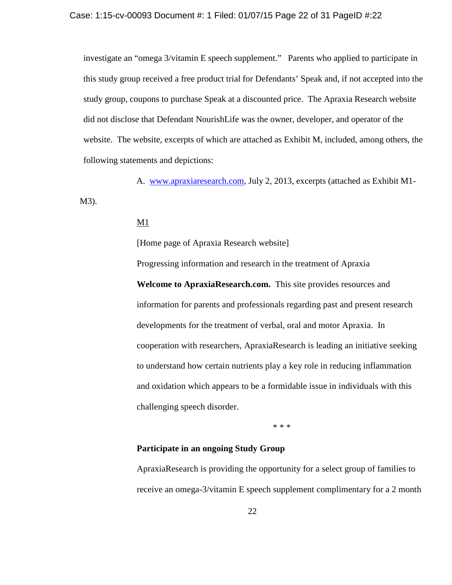investigate an "omega 3/vitamin E speech supplement." Parents who applied to participate in this study group received a free product trial for Defendants' Speak and, if not accepted into the study group, coupons to purchase Speak at a discounted price. The Apraxia Research website did not disclose that Defendant NourishLife was the owner, developer, and operator of the website. The website, excerpts of which are attached as Exhibit M, included, among others, the following statements and depictions:

A. www.apraxiaresearch.com, July 2, 2013, excerpts (attached as Exhibit M1- M3).

Progressing information and research in the treatment of Apraxia

## $\underline{\mathrm{M1}}$

[Home page of Apraxia Research website]

**Welcome to ApraxiaResearch.com.** This site provides resources and information for parents and professionals regarding past and present research developments for the treatment of verbal, oral and motor Apraxia. In cooperation with researchers, ApraxiaResearch is leading an initiative seeking to understand how certain nutrients play a key role in reducing inflammation and oxidation which appears to be a formidable issue in individuals with this challenging speech disorder.

\* \* \*

# **Participate in an ongoing Study Group**

ApraxiaResearch is providing the opportunity for a select group of families to receive an omega-3/vitamin E speech supplement complimentary for a 2 month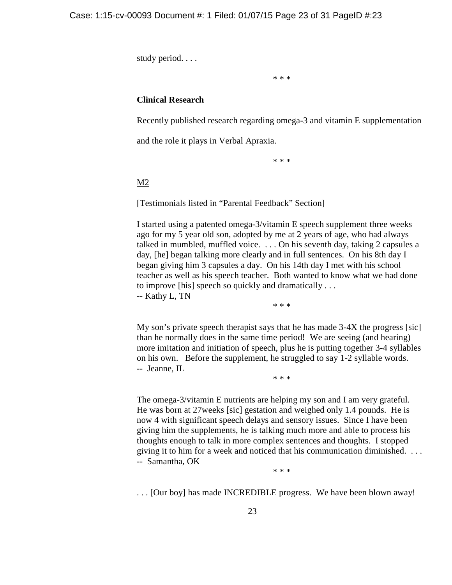study period. . . .

\* \* \*

## **Clinical Research**

Recently published research regarding omega-3 and vitamin E supplementation

and the role it plays in Verbal Apraxia.

\* \* \*

### M2

[Testimonials listed in "Parental Feedback" Section]

I started using a patented omega-3/vitamin E speech supplement three weeks ago for my 5 year old son, adopted by me at 2 years of age, who had always talked in mumbled, muffled voice. . . . On his seventh day, taking 2 capsules a day, [he] began talking more clearly and in full sentences. On his 8th day I began giving him 3 capsules a day. On his 14th day I met with his school teacher as well as his speech teacher. Both wanted to know what we had done to improve [his] speech so quickly and dramatically . . .

-- Kathy L, TN

\* \* \*

My son's private speech therapist says that he has made 3-4X the progress [sic] than he normally does in the same time period! We are seeing (and hearing) more imitation and initiation of speech, plus he is putting together 3-4 syllables on his own. Before the supplement, he struggled to say 1-2 syllable words. -- Jeanne, IL

\* \* \*

The omega-3/vitamin E nutrients are helping my son and I am very grateful. He was born at 27weeks [sic] gestation and weighed only 1.4 pounds. He is now 4 with significant speech delays and sensory issues. Since I have been giving him the supplements, he is talking much more and able to process his thoughts enough to talk in more complex sentences and thoughts. I stopped giving it to him for a week and noticed that his communication diminished. . . . -- Samantha, OK

\* \* \*

. . . [Our boy] has made INCREDIBLE progress. We have been blown away!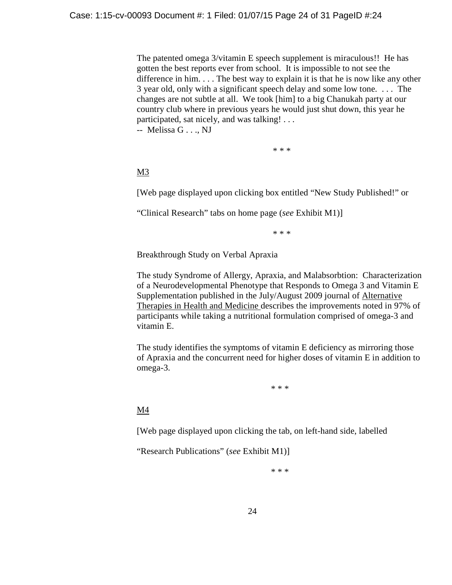The patented omega 3/vitamin E speech supplement is miraculous!! He has gotten the best reports ever from school. It is impossible to not see the difference in him. . . . The best way to explain it is that he is now like any other 3 year old, only with a significant speech delay and some low tone. . . . The changes are not subtle at all. We took [him] to a big Chanukah party at our country club where in previous years he would just shut down, this year he participated, sat nicely, and was talking! . . .

-- Melissa G . . ., NJ

\* \* \*

M3

[Web page displayed upon clicking box entitled "New Study Published!" or

"Clinical Research" tabs on home page (*see* Exhibit M1)]

\* \* \*

Breakthrough Study on Verbal Apraxia

The study Syndrome of Allergy, Apraxia, and Malabsorbtion: Characterization of a Neurodevelopmental Phenotype that Responds to Omega 3 and Vitamin E Supplementation published in the July/August 2009 journal of Alternative Therapies in Health and Medicine describes the improvements noted in 97% of participants while taking a nutritional formulation comprised of omega-3 and vitamin E.

The study identifies the symptoms of vitamin E deficiency as mirroring those of Apraxia and the concurrent need for higher doses of vitamin E in addition to omega-3.

\* \* \*

M4

[Web page displayed upon clicking the tab, on left-hand side, labelled

"Research Publications" (*see* Exhibit M1)]

\* \* \*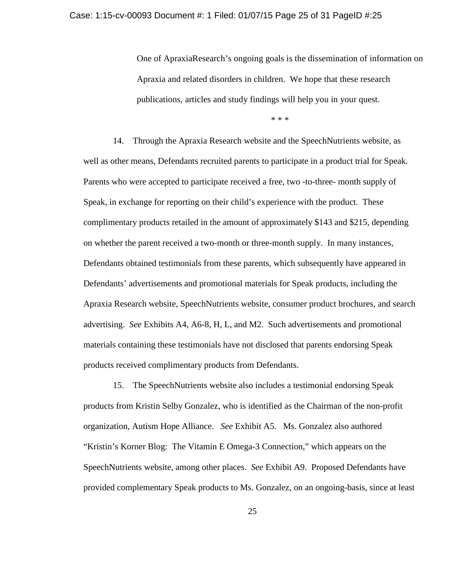One of ApraxiaResearch's ongoing goals is the dissemination of information on Apraxia and related disorders in children. We hope that these research publications, articles and study findings will help you in your quest.

\* \* \*

14. Through the Apraxia Research website and the SpeechNutrients website, as well as other means, Defendants recruited parents to participate in a product trial for Speak. Parents who were accepted to participate received a free, two -to-three- month supply of Speak, in exchange for reporting on their child's experience with the product. These complimentary products retailed in the amount of approximately \$143 and \$215, depending on whether the parent received a two-month or three-month supply. In many instances, Defendants obtained testimonials from these parents, which subsequently have appeared in Defendants' advertisements and promotional materials for Speak products, including the Apraxia Research website, SpeechNutrients website, consumer product brochures, and search advertising. *See* Exhibits A4, A6-8, H, L, and M2. Such advertisements and promotional materials containing these testimonials have not disclosed that parents endorsing Speak products received complimentary products from Defendants.

15. The SpeechNutrients website also includes a testimonial endorsing Speak products from Kristin Selby Gonzalez, who is identified as the Chairman of the non-profit organization, Autism Hope Alliance. *See* Exhibit A5. Ms. Gonzalez also authored "Kristin's Korner Blog: The Vitamin E Omega-3 Connection," which appears on the SpeechNutrients website, among other places. *See* Exhibit A9. Proposed Defendants have provided complementary Speak products to Ms. Gonzalez, on an ongoing-basis, since at least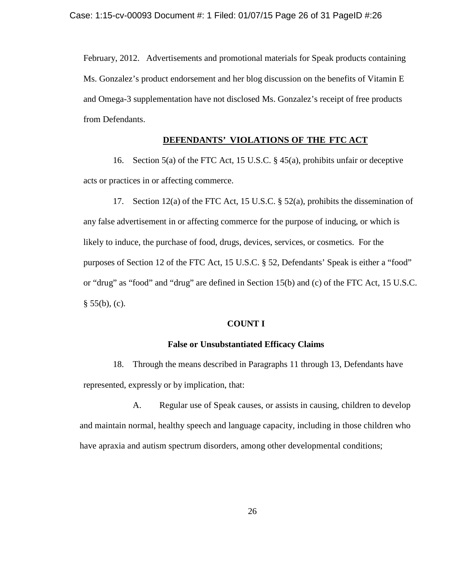February, 2012. Advertisements and promotional materials for Speak products containing Ms. Gonzalez's product endorsement and her blog discussion on the benefits of Vitamin E and Omega-3 supplementation have not disclosed Ms. Gonzalez's receipt of free products from Defendants.

# **DEFENDANTS' VIOLATIONS OF THE FTC ACT**

16. Section 5(a) of the FTC Act, 15 U.S.C. § 45(a), prohibits unfair or deceptive acts or practices in or affecting commerce.

17. Section 12(a) of the FTC Act, 15 U.S.C. § 52(a), prohibits the dissemination of any false advertisement in or affecting commerce for the purpose of inducing, or which is likely to induce, the purchase of food, drugs, devices, services, or cosmetics. For the purposes of Section 12 of the FTC Act, 15 U.S.C. § 52, Defendants' Speak is either a "food" or "drug" as "food" and "drug" are defined in Section 15(b) and (c) of the FTC Act, 15 U.S.C.  $§ 55(b), (c).$ 

#### **COUNT I**

#### **False or Unsubstantiated Efficacy Claims**

18. Through the means described in Paragraphs 11 through 13, Defendants have represented, expressly or by implication, that:

A. Regular use of Speak causes, or assists in causing, children to develop and maintain normal, healthy speech and language capacity, including in those children who have apraxia and autism spectrum disorders, among other developmental conditions;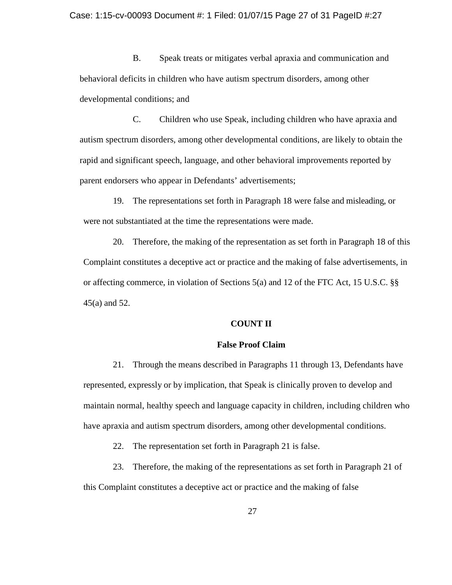B. Speak treats or mitigates verbal apraxia and communication and behavioral deficits in children who have autism spectrum disorders, among other developmental conditions; and

C. Children who use Speak, including children who have apraxia and autism spectrum disorders, among other developmental conditions, are likely to obtain the rapid and significant speech, language, and other behavioral improvements reported by parent endorsers who appear in Defendants' advertisements;

19. The representations set forth in Paragraph 18 were false and misleading, or were not substantiated at the time the representations were made.

20. Therefore, the making of the representation as set forth in Paragraph 18 of this Complaint constitutes a deceptive act or practice and the making of false advertisements, in or affecting commerce, in violation of Sections 5(a) and 12 of the FTC Act, 15 U.S.C. §§ 45(a) and 52.

#### **COUNT II**

### **False Proof Claim**

21. Through the means described in Paragraphs 11 through 13, Defendants have represented, expressly or by implication, that Speak is clinically proven to develop and maintain normal, healthy speech and language capacity in children, including children who have apraxia and autism spectrum disorders, among other developmental conditions.

22. The representation set forth in Paragraph 21 is false.

23. Therefore, the making of the representations as set forth in Paragraph 21 of this Complaint constitutes a deceptive act or practice and the making of false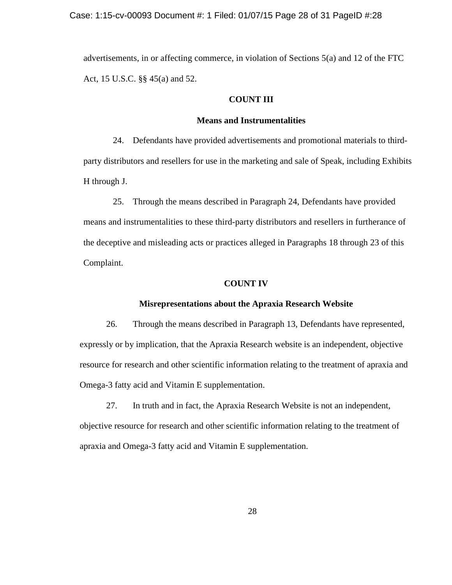advertisements, in or affecting commerce, in violation of Sections 5(a) and 12 of the FTC Act, 15 U.S.C. §§ 45(a) and 52.

#### **COUNT III**

#### **Means and Instrumentalities**

24. Defendants have provided advertisements and promotional materials to thirdparty distributors and resellers for use in the marketing and sale of Speak, including Exhibits H through J.

25. Through the means described in Paragraph 24, Defendants have provided means and instrumentalities to these third-party distributors and resellers in furtherance of the deceptive and misleading acts or practices alleged in Paragraphs 18 through 23 of this Complaint.

#### **COUNT IV**

#### **Misrepresentations about the Apraxia Research Website**

26. Through the means described in Paragraph 13, Defendants have represented, expressly or by implication, that the Apraxia Research website is an independent, objective resource for research and other scientific information relating to the treatment of apraxia and Omega-3 fatty acid and Vitamin E supplementation.

27. In truth and in fact, the Apraxia Research Website is not an independent, objective resource for research and other scientific information relating to the treatment of apraxia and Omega-3 fatty acid and Vitamin E supplementation.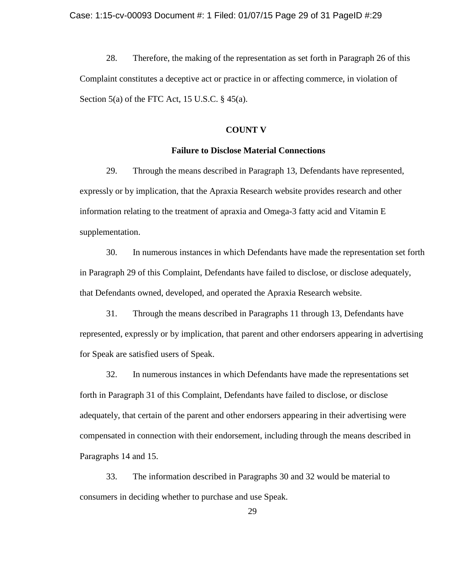28. Therefore, the making of the representation as set forth in Paragraph 26 of this Complaint constitutes a deceptive act or practice in or affecting commerce, in violation of Section 5(a) of the FTC Act, 15 U.S.C.  $\S$  45(a).

## **COUNT V**

#### **Failure to Disclose Material Connections**

29. Through the means described in Paragraph 13, Defendants have represented, expressly or by implication, that the Apraxia Research website provides research and other information relating to the treatment of apraxia and Omega-3 fatty acid and Vitamin E supplementation.

30. In numerous instances in which Defendants have made the representation set forth in Paragraph 29 of this Complaint, Defendants have failed to disclose, or disclose adequately, that Defendants owned, developed, and operated the Apraxia Research website.

31. Through the means described in Paragraphs 11 through 13, Defendants have represented, expressly or by implication, that parent and other endorsers appearing in advertising for Speak are satisfied users of Speak.

32. In numerous instances in which Defendants have made the representations set forth in Paragraph 31 of this Complaint, Defendants have failed to disclose, or disclose adequately, that certain of the parent and other endorsers appearing in their advertising were compensated in connection with their endorsement, including through the means described in Paragraphs 14 and 15.

33. The information described in Paragraphs 30 and 32 would be material to consumers in deciding whether to purchase and use Speak.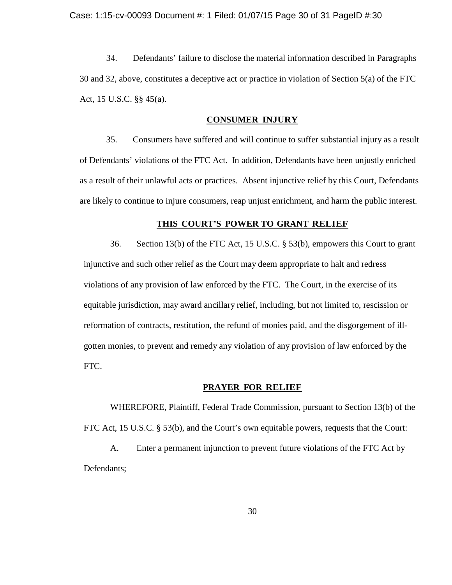Case: 1:15-cv-00093 Document #: 1 Filed: 01/07/15 Page 30 of 31 PageID #:30

34. Defendants' failure to disclose the material information described in Paragraphs 30 and 32, above, constitutes a deceptive act or practice in violation of Section 5(a) of the FTC Act, 15 U.S.C. §§ 45(a).

#### **CONSUMER INJURY**

35. Consumers have suffered and will continue to suffer substantial injury as a result of Defendants' violations of the FTC Act. In addition, Defendants have been unjustly enriched as a result of their unlawful acts or practices. Absent injunctive relief by this Court, Defendants are likely to continue to injure consumers, reap unjust enrichment, and harm the public interest.

#### **THIS COURT'S POWER TO GRANT RELIEF**

36. Section 13(b) of the FTC Act, 15 U.S.C. § 53(b), empowers this Court to grant injunctive and such other relief as the Court may deem appropriate to halt and redress violations of any provision of law enforced by the FTC. The Court, in the exercise of its equitable jurisdiction, may award ancillary relief, including, but not limited to, rescission or reformation of contracts, restitution, the refund of monies paid, and the disgorgement of illgotten monies, to prevent and remedy any violation of any provision of law enforced by the FTC.

## **PRAYER FOR RELIEF**

WHEREFORE, Plaintiff, Federal Trade Commission, pursuant to Section 13(b) of the FTC Act, 15 U.S.C. § 53(b), and the Court's own equitable powers, requests that the Court:

A. Enter a permanent injunction to prevent future violations of the FTC Act by Defendants;